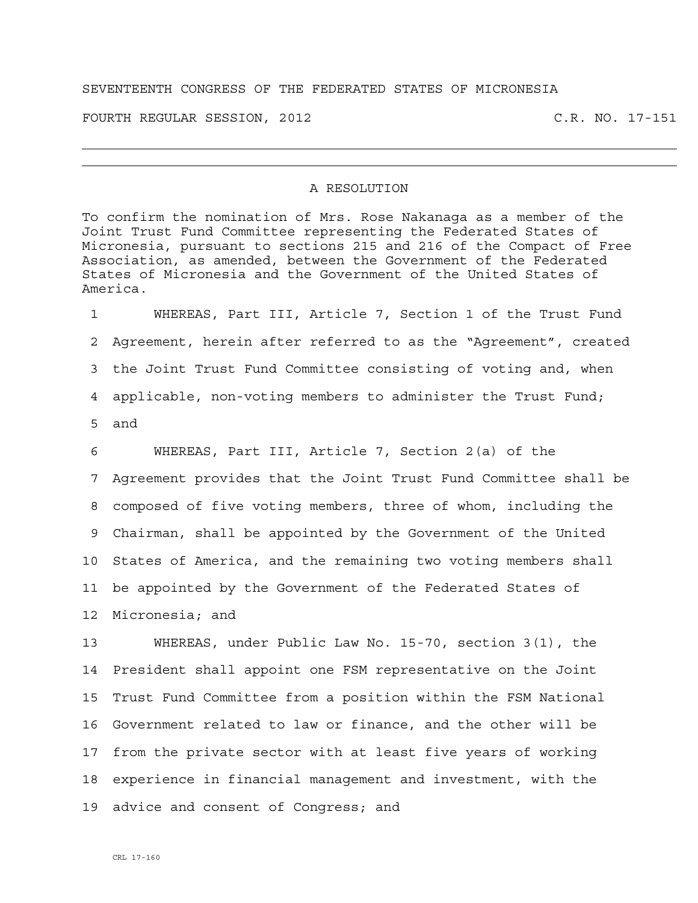## SEVENTEENTH CONGRESS OF THE FEDERATED STATES OF MICRONESIA

FOURTH REGULAR SESSION, 2012 C.R. NO. 17-151

## A RESOLUTION

To confirm the nomination of Mrs. Rose Nakanaga as a member of the Joint Trust Fund Committee representing the Federated States of Micronesia, pursuant to sections 215 and 216 of the Compact of Free Association, as amended, between the Government of the Federated States of Micronesia and the Government of the United States of America.

1 WHEREAS, Part III, Article 7, Section 1 of the Trust Fund 2 Agreement, herein after referred to as the "Agreement", created 3 the Joint Trust Fund Committee consisting of voting and, when 4 applicable, non-voting members to administer the Trust Fund; 5 and

6 WHEREAS, Part III, Article 7, Section 2(a) of the 7 Agreement provides that the Joint Trust Fund Committee shall be 8 composed of five voting members, three of whom, including the 9 Chairman, shall be appointed by the Government of the United 10 States of America, and the remaining two voting members shall 11 be appointed by the Government of the Federated States of 12 Micronesia; and

13 WHEREAS, under Public Law No. 15-70, section 3(1), the 14 President shall appoint one FSM representative on the Joint 15 Trust Fund Committee from a position within the FSM National 16 Government related to law or finance, and the other will be 17 from the private sector with at least five years of working 18 experience in financial management and investment, with the 19 advice and consent of Congress; and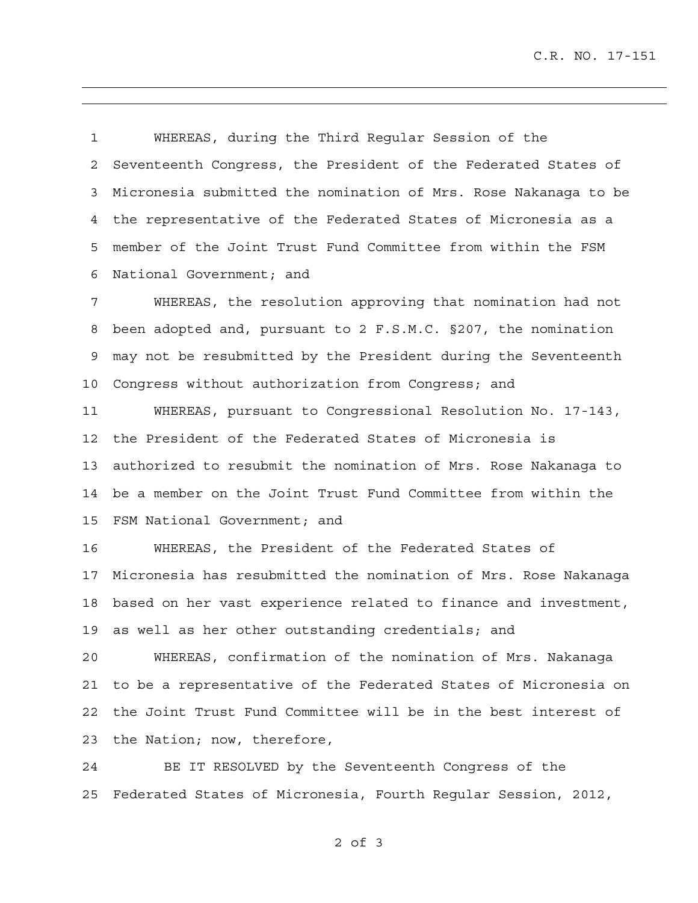C.R. NO. 17-151

1 WHEREAS, during the Third Regular Session of the 2 Seventeenth Congress, the President of the Federated States of 3 Micronesia submitted the nomination of Mrs. Rose Nakanaga to be 4 the representative of the Federated States of Micronesia as a 5 member of the Joint Trust Fund Committee from within the FSM 6 National Government; and

7 WHEREAS, the resolution approving that nomination had not 8 been adopted and, pursuant to 2 F.S.M.C. §207, the nomination 9 may not be resubmitted by the President during the Seventeenth 10 Congress without authorization from Congress; and

11 WHEREAS, pursuant to Congressional Resolution No. 17-143, 12 the President of the Federated States of Micronesia is 13 authorized to resubmit the nomination of Mrs. Rose Nakanaga to 14 be a member on the Joint Trust Fund Committee from within the 15 FSM National Government; and

16 WHEREAS, the President of the Federated States of 17 Micronesia has resubmitted the nomination of Mrs. Rose Nakanaga 18 based on her vast experience related to finance and investment, 19 as well as her other outstanding credentials; and

20 WHEREAS, confirmation of the nomination of Mrs. Nakanaga 21 to be a representative of the Federated States of Micronesia on 22 the Joint Trust Fund Committee will be in the best interest of 23 the Nation; now, therefore,

24 BE IT RESOLVED by the Seventeenth Congress of the 25 Federated States of Micronesia, Fourth Regular Session, 2012,

2 of 3